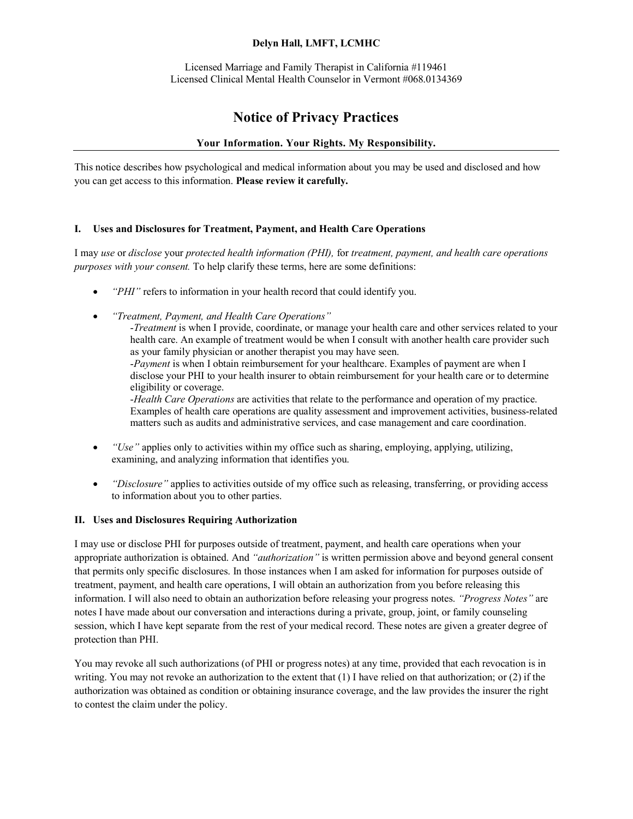# **Delyn Hall, LMFT, LCMHC**

Licensed Marriage and Family Therapist in California #119461 Licensed Clinical Mental Health Counselor in Vermont #068.0134369

# **Notice of Privacy Practices**

# **Your Information. Your Rights. My Responsibility.**

This notice describes how psychological and medical information about you may be used and disclosed and how you can get access to this information. **Please review it carefully.**

# **I. Uses and Disclosures for Treatment, Payment, and Health Care Operations**

I may *use* or *disclose* your *protected health information (PHI),* for *treatment, payment, and health care operations purposes with your consent.* To help clarify these terms, here are some definitions:

- *"PHI"* refers to information in your health record that could identify you.
- *"Treatment, Payment, and Health Care Operations"*

-*Treatment* is when I provide, coordinate, or manage your health care and other services related to your health care. An example of treatment would be when I consult with another health care provider such as your family physician or another therapist you may have seen. -*Payment* is when I obtain reimbursement for your healthcare. Examples of payment are when I

disclose your PHI to your health insurer to obtain reimbursement for your health care or to determine eligibility or coverage.

-*Health Care Operations* are activities that relate to the performance and operation of my practice. Examples of health care operations are quality assessment and improvement activities, business-related matters such as audits and administrative services, and case management and care coordination.

- *"Use"* applies only to activities within my office such as sharing, employing, applying, utilizing, examining, and analyzing information that identifies you.
- *"Disclosure"* applies to activities outside of my office such as releasing, transferring, or providing access to information about you to other parties.

# **II. Uses and Disclosures Requiring Authorization**

I may use or disclose PHI for purposes outside of treatment, payment, and health care operations when your appropriate authorization is obtained. And *"authorization"* is written permission above and beyond general consent that permits only specific disclosures. In those instances when I am asked for information for purposes outside of treatment, payment, and health care operations, I will obtain an authorization from you before releasing this information. I will also need to obtain an authorization before releasing your progress notes. *"Progress Notes"* are notes I have made about our conversation and interactions during a private, group, joint, or family counseling session, which I have kept separate from the rest of your medical record. These notes are given a greater degree of protection than PHI.

You may revoke all such authorizations (of PHI or progress notes) at any time, provided that each revocation is in writing. You may not revoke an authorization to the extent that (1) I have relied on that authorization; or (2) if the authorization was obtained as condition or obtaining insurance coverage, and the law provides the insurer the right to contest the claim under the policy.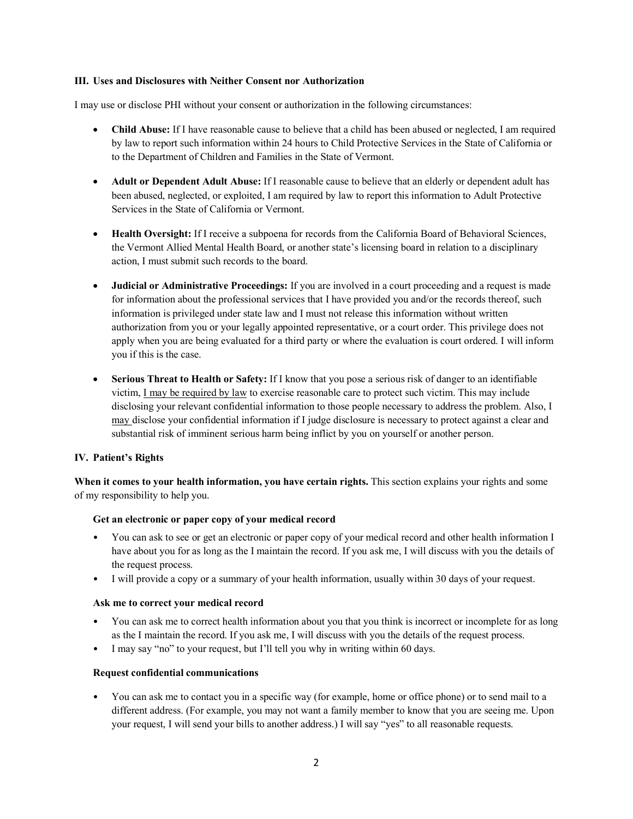# **III. Uses and Disclosures with Neither Consent nor Authorization**

I may use or disclose PHI without your consent or authorization in the following circumstances:

- **Child Abuse:** If I have reasonable cause to believe that a child has been abused or neglected, I am required by law to report such information within 24 hours to Child Protective Services in the State of California or to the Department of Children and Families in the State of Vermont.
- **Adult or Dependent Adult Abuse:** If I reasonable cause to believe that an elderly or dependent adult has been abused, neglected, or exploited, I am required by law to report this information to Adult Protective Services in the State of California or Vermont.
- **Health Oversight:** If I receive a subpoena for records from the California Board of Behavioral Sciences, the Vermont Allied Mental Health Board, or another state's licensing board in relation to a disciplinary action, I must submit such records to the board.
- **Judicial or Administrative Proceedings:** If you are involved in a court proceeding and a request is made for information about the professional services that I have provided you and/or the records thereof, such information is privileged under state law and I must not release this information without written authorization from you or your legally appointed representative, or a court order. This privilege does not apply when you are being evaluated for a third party or where the evaluation is court ordered. I will inform you if this is the case.
- **Serious Threat to Health or Safety:** If I know that you pose a serious risk of danger to an identifiable victim, I may be required by law to exercise reasonable care to protect such victim. This may include disclosing your relevant confidential information to those people necessary to address the problem. Also, I may disclose your confidential information if I judge disclosure is necessary to protect against a clear and substantial risk of imminent serious harm being inflict by you on yourself or another person.

# **IV. Patient's Rights**

**When it comes to your health information, you have certain rights.** This section explains your rights and some of my responsibility to help you.

#### **Get an electronic or paper copy of your medical record**

- You can ask to see or get an electronic or paper copy of your medical record and other health information I have about you for as long as the I maintain the record. If you ask me, I will discuss with you the details of the request process.
- I will provide a copy or a summary of your health information, usually within 30 days of your request.

#### **Ask me to correct your medical record**

- You can ask me to correct health information about you that you think is incorrect or incomplete for as long as the I maintain the record. If you ask me, I will discuss with you the details of the request process.
- I may say "no" to your request, but I'll tell you why in writing within 60 days.

#### **Request confidential communications**

• You can ask me to contact you in a specific way (for example, home or office phone) or to send mail to a different address. (For example, you may not want a family member to know that you are seeing me. Upon your request, I will send your bills to another address.) I will say "yes" to all reasonable requests.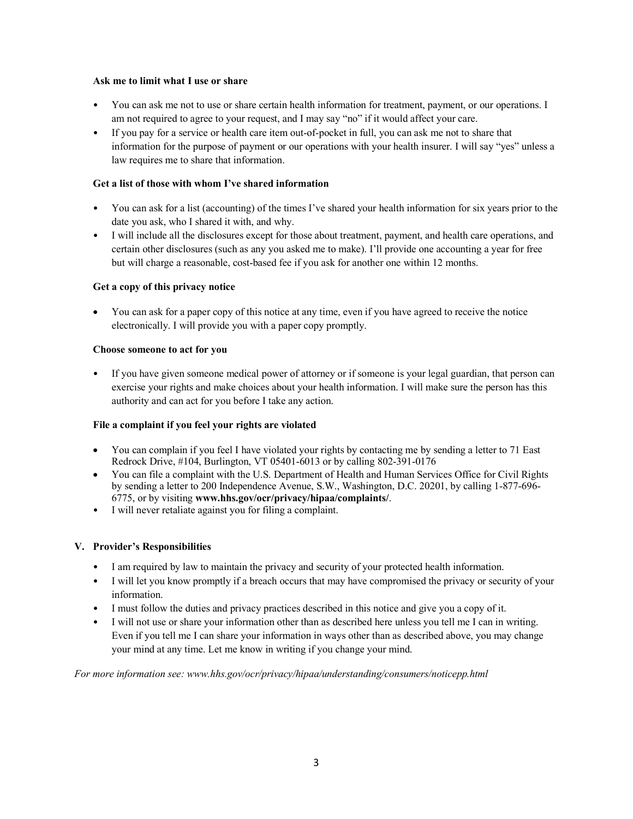# **Ask me to limit what I use or share**

- You can ask me not to use or share certain health information for treatment, payment, or our operations. I am not required to agree to your request, and I may say "no" if it would affect your care.
- If you pay for a service or health care item out-of-pocket in full, you can ask me not to share that information for the purpose of payment or our operations with your health insurer. I will say "yes" unless a law requires me to share that information.

# **Get a list of those with whom I've shared information**

- You can ask for a list (accounting) of the times I've shared your health information for six years prior to the date you ask, who I shared it with, and why.
- I will include all the disclosures except for those about treatment, payment, and health care operations, and certain other disclosures (such as any you asked me to make). I'll provide one accounting a year for free but will charge a reasonable, cost-based fee if you ask for another one within 12 months.

#### **Get a copy of this privacy notice**

• You can ask for a paper copy of this notice at any time, even if you have agreed to receive the notice electronically. I will provide you with a paper copy promptly.

#### **Choose someone to act for you**

• If you have given someone medical power of attorney or if someone is your legal guardian, that person can exercise your rights and make choices about your health information. I will make sure the person has this authority and can act for you before I take any action.

# **File a complaint if you feel your rights are violated**

- You can complain if you feel I have violated your rights by contacting me by sending a letter to 71 East Redrock Drive, #104, Burlington, VT 05401-6013 or by calling 802-391-0176
- You can file a complaint with the U.S. Department of Health and Human Services Office for Civil Rights by sending a letter to 200 Independence Avenue, S.W., Washington, D.C. 20201, by calling 1-877-696- 6775, or by visiting **www.hhs.gov/ocr/privacy/hipaa/complaints/**.
- I will never retaliate against you for filing a complaint.

# **V. Provider's Responsibilities**

- I am required by law to maintain the privacy and security of your protected health information.
- I will let you know promptly if a breach occurs that may have compromised the privacy or security of your information.
- I must follow the duties and privacy practices described in this notice and give you a copy of it.
- I will not use or share your information other than as described here unless you tell me I can in writing. Even if you tell me I can share your information in ways other than as described above, you may change your mind at any time. Let me know in writing if you change your mind.

*For more information see: www.hhs.gov/ocr/privacy/hipaa/understanding/consumers/noticepp.html*